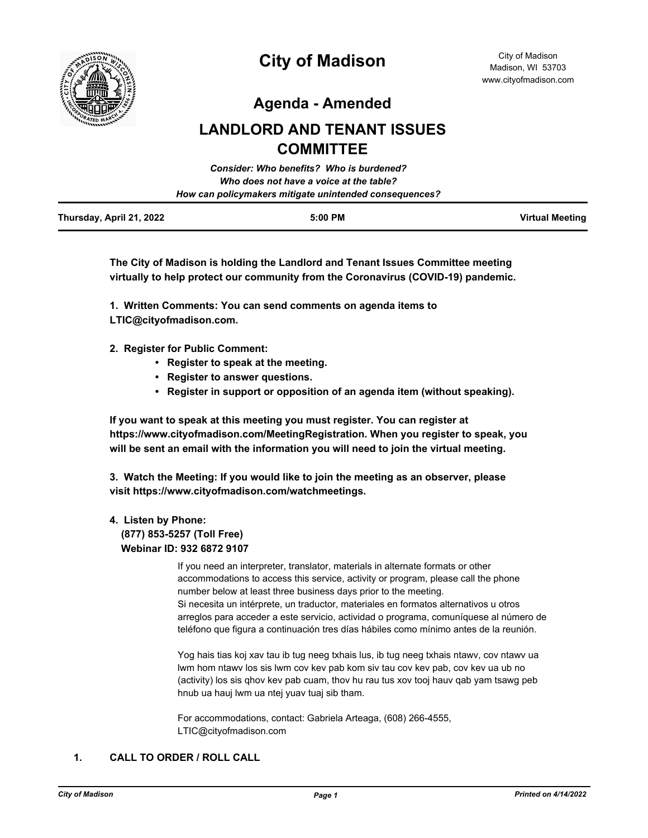

# **City of Madison**

**Agenda - Amended**

## **LANDLORD AND TENANT ISSUES COMMITTEE**

|                          | Consider: Who benefits? Who is burdened?               |                        |
|--------------------------|--------------------------------------------------------|------------------------|
|                          | Who does not have a voice at the table?                |                        |
|                          | How can policymakers mitigate unintended consequences? |                        |
| Thursday, April 21, 2022 | $5:00$ PM                                              | <b>Virtual Meeting</b> |

**The City of Madison is holding the Landlord and Tenant Issues Committee meeting virtually to help protect our community from the Coronavirus (COVID-19) pandemic.**

**1. Written Comments: You can send comments on agenda items to LTIC@cityofmadison.com.**

- **2. Register for Public Comment:** 
	- **Register to speak at the meeting.**
	- **Register to answer questions.**
	- **Register in support or opposition of an agenda item (without speaking).**

**If you want to speak at this meeting you must register. You can register at https://www.cityofmadison.com/MeetingRegistration. When you register to speak, you will be sent an email with the information you will need to join the virtual meeting.**

**3. Watch the Meeting: If you would like to join the meeting as an observer, please visit https://www.cityofmadison.com/watchmeetings.**

#### **4. Listen by Phone:**

 **(877) 853-5257 (Toll Free) Webinar ID: 932 6872 9107**

> If you need an interpreter, translator, materials in alternate formats or other accommodations to access this service, activity or program, please call the phone number below at least three business days prior to the meeting. Si necesita un intérprete, un traductor, materiales en formatos alternativos u otros arreglos para acceder a este servicio, actividad o programa, comuníquese al número de teléfono que figura a continuación tres días hábiles como mínimo antes de la reunión.

Yog hais tias koj xav tau ib tug neeg txhais lus, ib tug neeg txhais ntawv, cov ntawv ua lwm hom ntawv los sis lwm cov kev pab kom siv tau cov kev pab, cov kev ua ub no (activity) los sis qhov kev pab cuam, thov hu rau tus xov tooj hauv qab yam tsawg peb hnub ua hauj lwm ua ntej yuav tuaj sib tham.

For accommodations, contact: Gabriela Arteaga, (608) 266-4555, LTIC@cityofmadison.com

## **1. CALL TO ORDER / ROLL CALL**